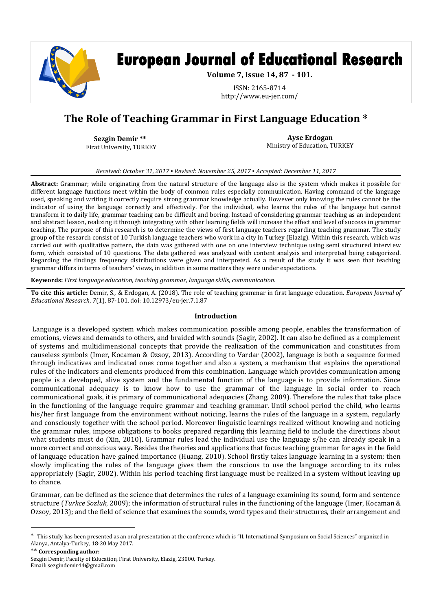

# **European Journal of Educational Research**

**Volume 7, Issue 14, 87 - 101.**

ISSN: 2165-8714 http://www.eu-jer.com/

# **The Role of Teaching Grammar in First Language Education \***

**Sezgin Demir \*\* \*** Firat University, TURKEY

**Ayse Erdogan** Ministry of Education, TURKEY

*Received: October 31, 2017 ▪ Revised: November 25, 2017 ▪ Accepted: December 11, 2017*

**Abstract:** Grammar; while originating from the natural structure of the language also is the system which makes it possible for different language functions meet within the body of common rules especially communication. Having command of the language used, speaking and writing it correctly require strong grammar knowledge actually. However only knowing the rules cannot be the indicator of using the language correctly and effectively. For the individual, who learns the rules of the language but cannot transform it to daily life, grammar teaching can be difficult and boring. Instead of considering grammar teaching as an independent and abstract lesson, realizing it through integrating with other learning fields will increase the effect and level of success in grammar teaching. The purpose of this research is to determine the views of first language teachers regarding teaching grammar. The study group of the research consist of 10 Turkish language teachers who work in a city in Turkey (Elazig). Within this research, which was carried out with qualitative pattern, the data was gathered with one on one interview technique using semi structured interview form, which consisted of 10 questions. The data gathered was analyzed with content analysis and interpreted being categorized. Regarding the findings frequency distributions were given and interpreted. As a result of the study it was seen that teaching grammar differs in terms of teachers' views, in addition in some matters they were under expectations.

**Keywords:** *First language education, teaching grammar, language skills, communication.*

**To cite this article:** Demir, S., & Erdogan, A. (2018). The role of teaching grammar in first language education. *European Journal of Educational Research*, *7*(1), 87-101. doi: 10.12973/eu-jer.7.1.87

#### **Introduction**

Language is a developed system which makes communication possible among people, enables the transformation of emotions, views and demands to others, and braided with sounds (Sagir, 2002). It can also be defined as a complement of systems and multidimensional concepts that provide the realization of the communication and constitutes from causeless symbols (Imer, Kocaman & Ozsoy, 2013). According to Vardar (2002), language is both a sequence formed through indicatives and indicated ones come together and also a system, a mechanism that explains the operational rules of the indicators and elements produced from this combination. Language which provides communication among people is a developed, alive system and the fundamental function of the language is to provide information. Since communicational adequacy is to know how to use the grammar of the language in social order to reach communicational goals, it is primary of communicational adequacies (Zhang, 2009). Therefore the rules that take place in the functioning of the language require grammar and teaching grammar. Until school period the child, who learns his/her first language from the environment without noticing, learns the rules of the language in a system, regularly and consciously together with the school period. Moreover linguistic learnings realized without knowing and noticing the grammar rules, impose obligations to books prepared regarding this learning field to include the directions about what students must do (Xin, 2010). Grammar rules lead the individual use the language s/he can already speak in a more correct and conscious way. Besides the theories and applications that focus teaching grammar for ages in the field of language education have gained importance (Huang, 2010). School firstly takes language learning in a system; then slowly implicating the rules of the language gives them the conscious to use the language according to its rules appropriately (Sagir, 2002). Within his period teaching first language must be realized in a system without leaving up to chance.

Grammar, can be defined as the science that determines the rules of a language examining its sound, form and sentence structure (*Turkce Sozluk*, 2009); the information of structural rules in the functioning of the language (Imer, Kocaman & Ozsoy, 2013); and the field of science that examines the sounds, word types and their structures, their arrangement and

\*\* **Corresponding author:**

 $\overline{\phantom{a}}$ 

<sup>\*</sup> This study has been presented as an oral presentation at the conference which is "II. International Symposium on Social Sciences" organized in Alanya, Antalya-Turkey, 18-20 May 2017.

Sezgin Demir, Faculty of Education, Firat University, Elazig, 23000, Turkey. Email: sezgindemir44@gmail.com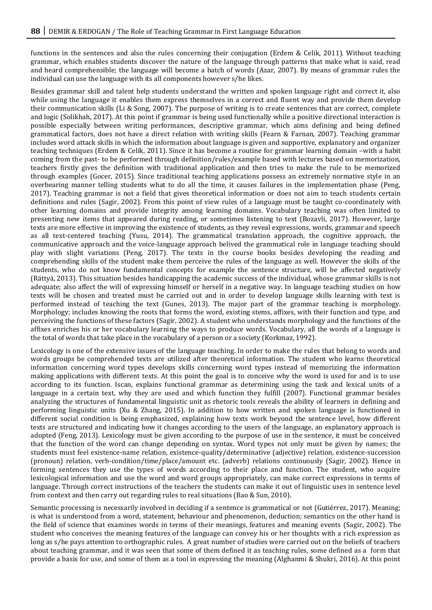functions in the sentences and also the rules concerning their conjugation (Erdem & Celik, 2011). Without teaching grammar, which enables students discover the nature of the language through patterns that make what is said, read and heard comprehensible; the language will become a batch of words (Azar, 2007). By means of grammar rules the individual can use the language with its all components however s/he likes.

Besides grammar skill and talent help students understand the written and spoken language right and correct it, also while using the language it enables them express themselves in a correct and fluent way and provide them develop their communication skills (Li & Song, 2007). The purpose of writing is to create sentences that are correct, complete and logic (Solikhah, 2017). At this point if grammar is being used functionally while a positive directional interaction is possible especially between writing performances, descriptive grammar, which aims defining and being defined grammatical factors, does not have a direct relation with writing skills (Fearn & Farnan, 2007). Teaching grammar includes word attack skills in which the information about language is given and supportive, explanatory and organizer teaching techniques (Erdem & Celik, 2011). Since it has become a routine for grammar learning domain –with a habit coming from the past- to be performed through definition/rules/example based with lectures based on memorization, teachers firstly gives the definition with traditional application and then tries to make the rule to be memorized through examples (Gocer, 2015). Since traditional teaching applications possess an extremely normative style in an overbearing manner telling students what to do all the time, it causes failures in the implementation phase (Peng, 2017). Teaching grammar is not a field that gives theoretical information or does not aim to teach students certain definitions and rules (Sagir, 2002). From this point of view rules of a language must be taught co-coordinately with other learning domains and provide integrity among learning domains. Vocabulary teaching was often limited to presenting new items that appeared during reading, or sometimes listening to text (Bozavli, 2017). However, large texts are more effective in improving the existence of students, as they reveal expressions, words, grammar and speech as all text-centered teaching (Yusu, 2014). The grammatical translation approach, the cognitive approach, the communicative approach and the voice-language approach belived the grammatical role in language teaching should play with slight variations (Peng, 2017). The texts in the course books besides developing the reading and comprehending skills of the student make them perceive the rules of the language as well. However the skills of the students, who do not know fundamental concepts for example the sentence structure, will be affected negatively (Rättyä, 2013). This situation besides handicapping the academic success of the individual, whose grammar skills is not adequate; also affect the will of expressing himself or herself in a negative way. In language teaching studies on how texts will be chosen and treated must be carried out and in order to develop language skills learning with text is performed instead of teaching the text (Gunes, 2013). The major part of the grammar teaching is morphology. Morphology; includes knowing the roots that forms the word, existing stems, affixes, with their function and type, and perceiving the functions of these factors (Sagir, 2002). A student who understands morphology and the functions of the affixes enriches his or her vocabulary learning the ways to produce words. Vocabulary, all the words of a language is the total of words that take place in the vocabulary of a person or a society (Korkmaz, 1992).

Lexicology is one of the extensive issues of the language teaching. In order to make the rules that belong to words and words groups be comprehended texts are utilized after theoretical information. The student who learns theoretical information concerning word types develops skills concerning word types instead of memorizing the information making applications with different texts. At this point the goal is to conceive why the word is used for and is to use according to its function. Iscan, explains functional grammar as determining using the task and lexical units of a language in a certain text, why they are used and which function they fulfill (2007). Functional grammar besides analyzing the structures of fundamental linguistic unit as rhetoric tools reveals the ability of learners in defining and performing linguistic units (Xu & Zhang, 2015). In addition to how written and spoken language is functioned in different social condition is being emphasized, explaining how texts work beyond the sentence level, how different texts are structured and indicating how it changes according to the users of the language, an explanatory approach is adopted (Feng, 2013). Lexicology must be given according to the purpose of use in the sentence, it must be conceived that the function of the word can change depending on syntax. Word types not only must be given by names; the students must feel existence-name relation, existence-quality/determinative (adjective) relation, existence-succession (pronoun) relation, verb-condition/time/place/amount etc. (adverb) relations continuously (Sagir, 2002). Hence in forming sentences they use the types of words according to their place and function. The student, who acquire lexicological information and use the word and word groups appropriately, can make correct expressions in terms of language. Through correct instructions of the teachers the students can make it out of linguistic uses in sentence level from context and then carry out regarding rules to real situations (Bao & Sun, 2010).

Semantic processing is necessarily involved in deciding if a sentence is grammatical or not (Gutiérrez, 2017). Meaning; is what is understood from a word, statement, behaviour and phenomenon, deduction; semantics on the other hand is the field of science that examines words in terms of their meanings, features and meaning events (Sagir, 2002). The student who conceives the meaning features of the language can convey his or her thoughts with a rich expression as long as s/he pays attention to orthographic rules. A great number of studies were carried out on the beliefs of teachers about teaching grammar, and it was seen that some of them defined it as teaching rules, some defined as a form that provide a basis for use, and some of them as a tool in expressing the meaning (Alghanmi & Shukri, 2016). At this point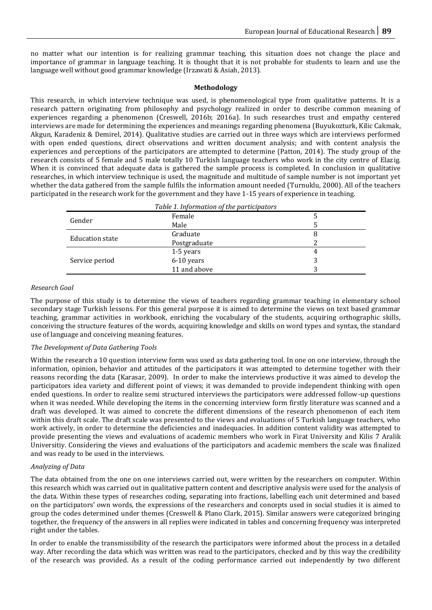no matter what our intention is for realizing grammar teaching, this situation does not change the place and importance of grammar in language teaching. It is thought that it is not probable for students to learn and use the language well without good grammar knowledge (Irzawati & Asiah, 2013).

### **Methodology**

This research, in which interview technique was used, is phenomenological type from qualitative patterns. It is a research pattern originating from philosophy and psychology realized in order to describe common meaning of experiences regarding a phenomenon (Creswell, 2016b; 2016a). In such researches trust and empathy centered interviews are made for determining the experiences and meanings regarding phenomena (Buyukozturk, Kilic Cakmak, Akgun, Karadeniz & Demirel, 2014). Qualitative studies are carried out in three ways which are interviews performed with open ended questions, direct observations and written document analysis; and with content analysis the experiences and perceptions of the participators are attempted to determine (Patton, 2014). The study group of the research consists of 5 female and 5 male totally 10 Turkish language teachers who work in the city centre of Elazig. When it is convinced that adequate data is gathered the sample process is completed. In conclusion in qualitative researches, in which interview technique is used, the magnitude and multitude of sample number is not important yet whether the data gathered from the sample fulfils the information amount needed (Turnuklu, 2000). All of the teachers participated in the research work for the government and they have 1-15 years of experience in teaching.

| Table 1. Information of the participators |              |   |
|-------------------------------------------|--------------|---|
| Gender                                    | Female       |   |
|                                           | Male         |   |
| <b>Education state</b>                    | Graduate     | 8 |
|                                           | Postgraduate |   |
|                                           | 1-5 years    | 4 |
| Service period                            | 6-10 years   | 3 |
|                                           | 11 and above |   |

### *Research Goal*

The purpose of this study is to determine the views of teachers regarding grammar teaching in elementary school secondary stage Turkish lessons. For this general purpose it is aimed to determine the views on text based grammar teaching, grammar activities in workbook, enriching the vocabulary of the students, acquiring orthographic skills, conceiving the structure features of the words, acquiring knowledge and skills on word types and syntax, the standard use of language and conceiving meaning features.

#### *The Development of Data Gathering Tools*

Within the research a 10 question interview form was used as data gathering tool. In one on one interview, through the information, opinion, behavior and attitudes of the participators it was attempted to determine together with their reasons recording the data (Karasar, 2009). In order to make the interviews productive it was aimed to develop the participators idea variety and different point of views; it was demanded to provide independent thinking with open ended questions. In order to realize semi structured interviews the participators were addressed follow-up questions when it was needed. While developing the items in the concerning interview form firstly literature was scanned and a draft was developed. It was aimed to concrete the different dimensions of the research phenomenon of each item within this draft scale. The draft scale was presented to the views and evaluations of 5 Turkish language teachers, who work actively, in order to determine the deficiencies and inadequacies. In addition content validity was attempted to provide presenting the views and evaluations of academic members who work in Firat University and Kilis 7 Aralik Universitiy. Considering the views and evaluations of the participators and academic members the scale was finalized and was ready to be used in the interviews.

#### *Analyzing of Data*

The data obtained from the one on one interviews carried out, were written by the researchers on computer. Within this research which was carried out in qualitative pattern content and descriptive analysis were used for the analysis of the data. Within these types of researches coding, separating into fractions, labelling each unit determined and based on the participators' own words, the expressions of the researchers and concepts used in social studies it is aimed to group the codes determined under themes (Creswell & Plano Clark, 2015). Similar answers were categorized bringing together, the frequency of the answers in all replies were indicated in tables and concerning frequency was interpreted right under the tables.

In order to enable the transmissibility of the research the participators were informed about the process in a detailed way. After recording the data which was written was read to the participators, checked and by this way the credibility of the research was provided. As a result of the coding performance carried out independently by two different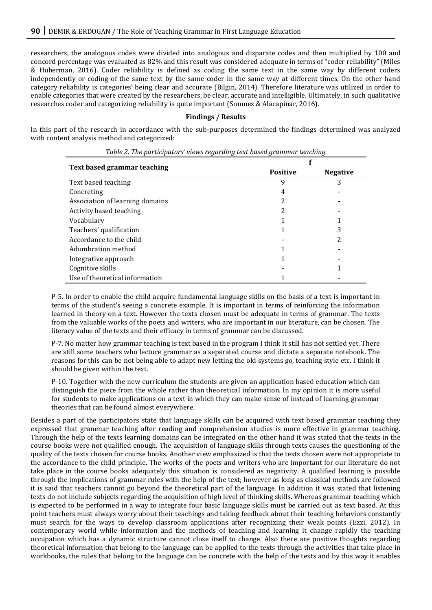researchers, the analogous codes were divided into analogous and disparate codes and then multiplied by 100 and concord percentage was evaluated as 82% and this result was considered adequate in terms of "coder reliability" (Miles & Huberman, 2016). Coder reliability is defined as coding the same text in the same way by different coders independently or coding of the same text by the same coder in the same way at different times. On the other hand category reliability is categories' being clear and accurate (Bilgin, 2014). Therefore literature was utilized in order to enable categories that were created by the researchers, be clear, accurate and intelligible. Ultimately, in such qualitative researches coder and categorizing reliability is quite important (Sonmez & Alacapinar, 2016).

## **Findings / Results**

In this part of the research in accordance with the sub-purposes determined the findings determined was analyzed with content analysis method and categorized:

| Text based grammar teaching     | <b>Positive</b> | <b>Negative</b> |
|---------------------------------|-----------------|-----------------|
| Text based teaching             | 9               | 3               |
| Concreting                      | 4               |                 |
| Association of learning domains | 2               |                 |
| Activity based teaching         | 2               |                 |
| Vocabulary                      |                 |                 |
| Teachers' qualification         |                 | 3               |
| Accordance to the child         |                 | 2               |
| Adumbration method              |                 |                 |
| Integrative approach            |                 |                 |
| Cognitive skills                |                 |                 |
| Use of theoretical information  |                 |                 |

| Table 2. The participators' views regarding text based grammar teaching |  |
|-------------------------------------------------------------------------|--|
|                                                                         |  |

P-5. In order to enable the child acquire fundamental language skills on the basis of a text is important in terms of the student's seeing a concrete example. It is important in terms of reinforcing the information learned in theory on a text. However the texts chosen must be adequate in terms of grammar. The texts from the valuable works of the poets and writers, who are important in our literature, can be chosen. The literacy value of the texts and their efficacy in terms of grammar can be discussed.

P-7. No matter how grammar teaching is text based in the program I think it still has not settled yet. There are still some teachers who lecture grammar as a separated course and dictate a separate notebook. The reasons for this can be not being able to adapt new letting the old systems go, teaching style etc. I think it should be given within the text.

P-10. Together with the new curriculum the students are given an application based education which can distinguish the piece from the whole rather than theoretical information. In my opinion it is more useful for students to make applications on a text in which they can make sense of instead of learning grammar theories that can be found almost everywhere.

Besides a part of the participators state that language skills can be acquired with text based grammar teaching they expressed that grammar teaching after reading and comprehension studies is more effective in grammar teaching. Through the help of the texts learning domains can be integrated on the other hand it was stated that the texts in the course books were not qualified enough. The acquisition of language skills through texts causes the questioning of the quality of the texts chosen for course books. Another view emphasized is that the texts chosen were not appropriate to the accordance to the child principle. The works of the poets and writers who are important for our literature do not take place in the course books adequately this situation is considered as negativity. A qualified learning is possible through the implications of grammar rules with the help of the text; however as long as classical methods are followed it is said that teachers cannot go beyond the theoretical part of the language. In addition it was stated that listening texts do not include subjects regarding the acquisition of high level of thinking skills. Whereas grammar teaching which is expected to be performed in a way to integrate four basic language skills must be carried out as text based. At this point teachers must always worry about their teachings and taking feedback about their teaching behaviors constantly must search for the ways to develop classroom applications after recognizing their weak points (Ezzi, 2012). In contemporary world while information and the methods of teaching and learning it change rapidly the teaching occupation which has a dynamic structure cannot close itself to change. Also there are positive thoughts regarding theoretical information that belong to the language can be applied to the texts through the activities that take place in workbooks, the rules that belong to the language can be concrete with the help of the texts and by this way it enables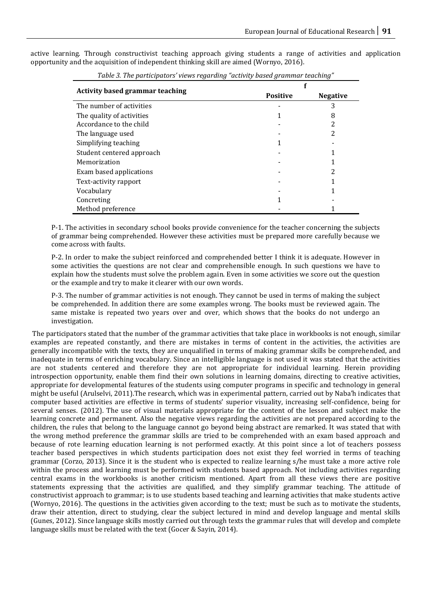active learning. Through constructivist teaching approach giving students a range of activities and application opportunity and the acquisition of independent thinking skill are aimed (Wornyo, 2016).

| rable 5. The participators views regarding activity based grammar teaching |                 |                 |
|----------------------------------------------------------------------------|-----------------|-----------------|
|                                                                            |                 |                 |
| <b>Activity based grammar teaching</b>                                     | <b>Positive</b> | <b>Negative</b> |
| The number of activities                                                   |                 | 3               |
| The quality of activities                                                  |                 | 8               |
| Accordance to the child                                                    |                 | 2               |
| The language used                                                          |                 | 2               |
| Simplifying teaching                                                       |                 |                 |
| Student centered approach                                                  |                 |                 |
| Memorization                                                               |                 |                 |
| Exam based applications                                                    |                 | 2               |
| Text-activity rapport                                                      |                 |                 |
| Vocabulary                                                                 |                 |                 |
| Concreting                                                                 |                 |                 |
| Method preference                                                          |                 |                 |

*Table 3. The participators' views regarding "activity based grammar teaching"*

P-1. The activities in secondary school books provide convenience for the teacher concerning the subjects of grammar being comprehended. However these activities must be prepared more carefully because we come across with faults.

P-2. In order to make the subject reinforced and comprehended better I think it is adequate. However in some activities the questions are not clear and comprehensible enough. In such questions we have to explain how the students must solve the problem again. Even in some activities we score out the question or the example and try to make it clearer with our own words.

P-3. The number of grammar activities is not enough. They cannot be used in terms of making the subject be comprehended. In addition there are some examples wrong. The books must be reviewed again. The same mistake is repeated two years over and over, which shows that the books do not undergo an investigation.

The participators stated that the number of the grammar activities that take place in workbooks is not enough, similar examples are repeated constantly, and there are mistakes in terms of content in the activities, the activities are generally incompatible with the texts, they are unqualified in terms of making grammar skills be comprehended, and inadequate in terms of enriching vocabulary. Since an intelligible language is not used it was stated that the activities are not students centered and therefore they are not appropriate for individual learning. Herein providing introspection opportunity, enable them find their own solutions in learning domains, directing to creative activities, appropriate for developmental features of the students using computer programs in specific and technology in general might be useful (Arulselvi, 2011).The research, which was in experimental pattern, carried out by Naba'h indicates that computer based activities are effective in terms of students' superior visuality, increasing self-confidence, being for several senses. (2012). The use of visual materials appropriate for the content of the lesson and subject make the learning concrete and permanent. Also the negative views regarding the activities are not prepared according to the children, the rules that belong to the language cannot go beyond being abstract are remarked. It was stated that with the wrong method preference the grammar skills are tried to be comprehended with an exam based approach and because of rote learning education learning is not performed exactly. At this point since a lot of teachers possess teacher based perspectives in which students participation does not exist they feel worried in terms of teaching grammar (Corzo, 2013). Since it is the student who is expected to realize learning s/he must take a more active role within the process and learning must be performed with students based approach. Not including activities regarding central exams in the workbooks is another criticism mentioned. Apart from all these views there are positive statements expressing that the activities are qualified, and they simplify grammar teaching. The attitude of constructivist approach to grammar; is to use students based teaching and learning activities that make students active (Wornyo, 2016). The questions in the activities given according to the text; must be such as to motivate the students, draw their attention, direct to studying, clear the subject lectured in mind and develop language and mental skills (Gunes, 2012). Since language skills mostly carried out through texts the grammar rules that will develop and complete language skills must be related with the text (Gocer & Sayin, 2014).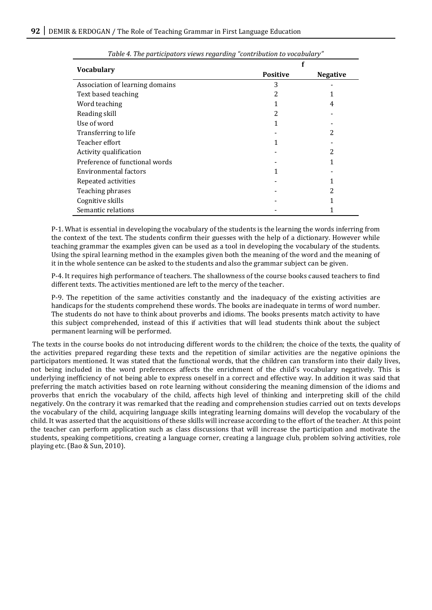| <b>Vocabulary</b>               | <b>Positive</b> | <b>Negative</b> |
|---------------------------------|-----------------|-----------------|
| Association of learning domains | 3               |                 |
| Text based teaching             | 2               |                 |
| Word teaching                   |                 | 4               |
| Reading skill                   | 2               |                 |
| Use of word                     |                 |                 |
| Transferring to life            |                 | 2               |
| Teacher effort                  |                 |                 |
| Activity qualification          |                 | 2               |
| Preference of functional words  |                 |                 |
| Environmental factors           |                 |                 |
| Repeated activities             |                 |                 |
| Teaching phrases                |                 | 2               |
| Cognitive skills                |                 |                 |
| Semantic relations              |                 |                 |

*Table 4. The participators views regarding "contribution to vocabulary"*

P-1. What is essential in developing the vocabulary of the students is the learning the words inferring from the context of the text. The students confirm their guesses with the help of a dictionary. However while teaching grammar the examples given can be used as a tool in developing the vocabulary of the students. Using the spiral learning method in the examples given both the meaning of the word and the meaning of it in the whole sentence can be asked to the students and also the grammar subject can be given.

P-4. It requires high performance of teachers. The shallowness of the course books caused teachers to find different texts. The activities mentioned are left to the mercy of the teacher.

P-9. The repetition of the same activities constantly and the inadequacy of the existing activities are handicaps for the students comprehend these words. The books are inadequate in terms of word number. The students do not have to think about proverbs and idioms. The books presents match activity to have this subject comprehended, instead of this if activities that will lead students think about the subject permanent learning will be performed.

The texts in the course books do not introducing different words to the children; the choice of the texts, the quality of the activities prepared regarding these texts and the repetition of similar activities are the negative opinions the participators mentioned. It was stated that the functional words, that the children can transform into their daily lives, not being included in the word preferences affects the enrichment of the child's vocabulary negatively. This is underlying inefficiency of not being able to express oneself in a correct and effective way. In addition it was said that preferring the match activities based on rote learning without considering the meaning dimension of the idioms and proverbs that enrich the vocabulary of the child, affects high level of thinking and interpreting skill of the child negatively. On the contrary it was remarked that the reading and comprehension studies carried out on texts develops the vocabulary of the child, acquiring language skills integrating learning domains will develop the vocabulary of the child. It was asserted that the acquisitions of these skills will increase according to the effort of the teacher. At this point the teacher can perform application such as class discussions that will increase the participation and motivate the students, speaking competitions, creating a language corner, creating a language club, problem solving activities, role playing etc. (Bao & Sun, 2010).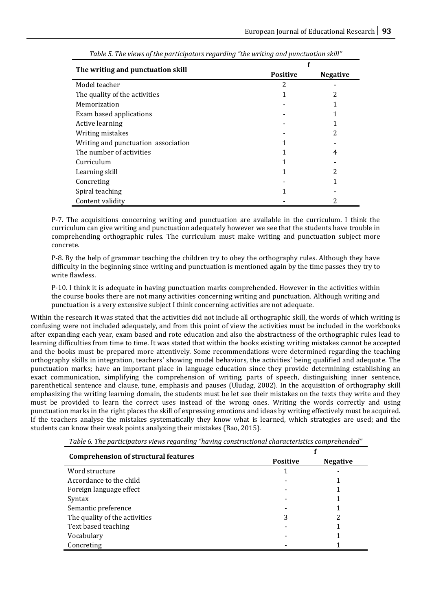| The writing and punctuation skill   | <b>Positive</b> | <b>Negative</b> |
|-------------------------------------|-----------------|-----------------|
| Model teacher                       | 2               |                 |
| The quality of the activities       |                 | 2               |
| Memorization                        |                 |                 |
| Exam based applications             |                 | 1               |
| Active learning                     |                 |                 |
| Writing mistakes                    |                 | 2               |
| Writing and punctuation association |                 |                 |
| The number of activities            |                 | 4               |
| Curriculum                          |                 |                 |
| Learning skill                      |                 | 2               |
| Concreting                          |                 |                 |
| Spiral teaching                     |                 |                 |
| Content validity                    |                 | 2               |

P-7. The acquisitions concerning writing and punctuation are available in the curriculum. I think the curriculum can give writing and punctuation adequately however we see that the students have trouble in comprehending orthographic rules. The curriculum must make writing and punctuation subject more concrete.

P-8. By the help of grammar teaching the children try to obey the orthography rules. Although they have difficulty in the beginning since writing and punctuation is mentioned again by the time passes they try to write flawless.

P-10. I think it is adequate in having punctuation marks comprehended. However in the activities within the course books there are not many activities concerning writing and punctuation. Although writing and punctuation is a very extensive subject I think concerning activities are not adequate.

Within the research it was stated that the activities did not include all orthographic skill, the words of which writing is confusing were not included adequately, and from this point of view the activities must be included in the workbooks after expanding each year, exam based and rote education and also the abstractness of the orthographic rules lead to learning difficulties from time to time. It was stated that within the books existing writing mistakes cannot be accepted and the books must be prepared more attentively. Some recommendations were determined regarding the teaching orthography skills in integration, teachers' showing model behaviors, the activities' being qualified and adequate. The punctuation marks; have an important place in language education since they provide determining establishing an exact communication, simplifying the comprehension of writing, parts of speech, distinguishing inner sentence, parenthetical sentence and clause, tune, emphasis and pauses (Uludag, 2002). In the acquisition of orthography skill emphasizing the writing learning domain, the students must be let see their mistakes on the texts they write and they must be provided to learn the correct uses instead of the wrong ones. Writing the words correctly and using punctuation marks in the right places the skill of expressing emotions and ideas by writing effectively must be acquired. If the teachers analyse the mistakes systematically they know what is learned, which strategies are used; and the students can know their weak points analyzing their mistakes (Bao, 2015).

| <b>Comprehension of structural features</b> |                 |                 |
|---------------------------------------------|-----------------|-----------------|
|                                             | <b>Positive</b> | <b>Negative</b> |
| Word structure                              |                 |                 |
| Accordance to the child                     |                 |                 |
| Foreign language effect                     |                 |                 |
| Syntax                                      |                 |                 |
| Semantic preference                         |                 |                 |
| The quality of the activities               | 3               | 2               |
| Text based teaching                         |                 |                 |
| Vocabulary                                  |                 |                 |
| Concreting                                  |                 |                 |

*Table 6. The participators views regarding "having constructional characteristics comprehended"*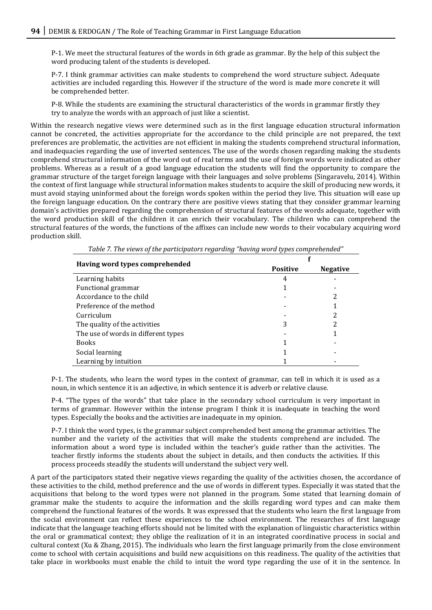P-1. We meet the structural features of the words in 6th grade as grammar. By the help of this subject the word producing talent of the students is developed.

P-7. I think grammar activities can make students to comprehend the word structure subject. Adequate activities are included regarding this. However if the structure of the word is made more concrete it will be comprehended better.

P-8. While the students are examining the structural characteristics of the words in grammar firstly they try to analyze the words with an approach of just like a scientist.

Within the research negative views were determined such as in the first language education structural information cannot be concreted, the activities appropriate for the accordance to the child principle are not prepared, the text preferences are problematic, the activities are not efficient in making the students comprehend structural information, and inadequacies regarding the use of inverted sentences. The use of the words chosen regarding making the students comprehend structural information of the word out of real terms and the use of foreign words were indicated as other problems. Whereas as a result of a good language education the students will find the opportunity to compare the grammar structure of the target foreign language with their languages and solve problems (Singaravelu, 2014). Within the context of first language while structural information makes students to acquire the skill of producing new words, it must avoid staying uninformed about the foreign words spoken within the period they live. This situation will ease up the foreign language education. On the contrary there are positive views stating that they consider grammar learning domain's activities prepared regarding the comprehension of structural features of the words adequate, together with the word production skill of the children it can enrich their vocabulary. The children who can comprehend the structural features of the words, the functions of the affixes can include new words to their vocabulary acquiring word production skill.

| Having word types comprehended      | <b>Positive</b> | <b>Negative</b> |
|-------------------------------------|-----------------|-----------------|
| Learning habits                     |                 |                 |
| Functional grammar                  |                 |                 |
| Accordance to the child             |                 | 2               |
| Preference of the method            |                 |                 |
| Curriculum                          |                 | 2               |
| The quality of the activities       |                 |                 |
| The use of words in different types |                 |                 |
| <b>Books</b>                        |                 |                 |
| Social learning                     |                 |                 |
| Learning by intuition               |                 |                 |

*Table 7. The views of the participators regarding "having word types comprehended"*

P-1. The students, who learn the word types in the context of grammar, can tell in which it is used as a noun, in which sentence it is an adjective, in which sentence it is adverb or relative clause.

P-4. "The types of the words" that take place in the secondary school curriculum is very important in terms of grammar. However within the intense program I think it is inadequate in teaching the word types. Especially the books and the activities are inadequate in my opinion.

P-7. I think the word types, is the grammar subject comprehended best among the grammar activities. The number and the variety of the activities that will make the students comprehend are included. The information about a word type is included within the teacher's guide rather than the activities. The teacher firstly informs the students about the subject in details, and then conducts the activities. If this process proceeds steadily the students will understand the subject very well.

A part of the participators stated their negative views regarding the quality of the activities chosen, the accordance of these activities to the child, method preference and the use of words in different types. Especially it was stated that the acquisitions that belong to the word types were not planned in the program. Some stated that learning domain of grammar make the students to acquire the information and the skills regarding word types and can make them comprehend the functional features of the words. It was expressed that the students who learn the first language from the social environment can reflect these experiences to the school environment. The researches of first language indicate that the language teaching efforts should not be limited with the explanation of linguistic characteristics within the oral or grammatical context; they oblige the realization of it in an integrated coordinative process in social and cultural context (Xu & Zhang, 2015). The individuals who learn the first language primarily from the close environment come to school with certain acquisitions and build new acquisitions on this readiness. The quality of the activities that take place in workbooks must enable the child to intuit the word type regarding the use of it in the sentence. In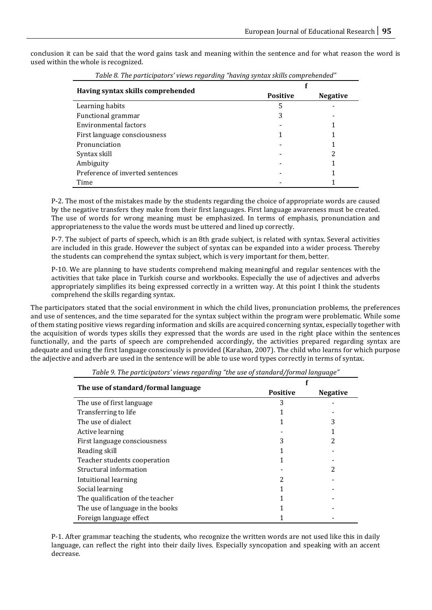conclusion it can be said that the word gains task and meaning within the sentence and for what reason the word is used within the whole is recognized.

| Table of the participators views regarding thaving syntax skills comprehended |                 |                 |
|-------------------------------------------------------------------------------|-----------------|-----------------|
|                                                                               |                 |                 |
| Having syntax skills comprehended                                             | <b>Positive</b> | <b>Negative</b> |
| Learning habits                                                               | 5               |                 |
| Functional grammar                                                            |                 |                 |
| Environmental factors                                                         |                 |                 |
| First language consciousness                                                  |                 |                 |
| Pronunciation                                                                 |                 |                 |
| Syntax skill                                                                  |                 | 2               |
| Ambiguity                                                                     |                 |                 |
| Preference of inverted sentences                                              |                 |                 |
| Time                                                                          |                 |                 |

*Table 8. The participators' views regarding "having syntax skills comprehended"*

P-2. The most of the mistakes made by the students regarding the choice of appropriate words are caused by the negative transfers they make from their first languages. First language awareness must be created. The use of words for wrong meaning must be emphasized. In terms of emphasis, pronunciation and appropriateness to the value the words must be uttered and lined up correctly.

P-7. The subject of parts of speech, which is an 8th grade subject, is related with syntax. Several activities are included in this grade. However the subject of syntax can be expanded into a wider process. Thereby the students can comprehend the syntax subject, which is very important for them, better.

P-10. We are planning to have students comprehend making meaningful and regular sentences with the activities that take place in Turkish course and workbooks. Especially the use of adjectives and adverbs appropriately simplifies its being expressed correctly in a written way. At this point I think the students comprehend the skills regarding syntax.

The participators stated that the social environment in which the child lives, pronunciation problems, the preferences and use of sentences, and the time separated for the syntax subject within the program were problematic. While some of them stating positive views regarding information and skills are acquired concerning syntax, especially together with the acquisition of words types skills they expressed that the words are used in the right place within the sentences functionally, and the parts of speech are comprehended accordingly, the activities prepared regarding syntax are adequate and using the first language consciously is provided (Karahan, 2007). The child who learns for which purpose the adjective and adverb are used in the sentence will be able to use word types correctly in terms of syntax.

| The use of standard/formal language | <b>Positive</b> | <b>Negative</b> |
|-------------------------------------|-----------------|-----------------|
| The use of first language.          | 3               |                 |
| Transferring to life                |                 |                 |
| The use of dialect.                 |                 | 3               |
| Active learning                     |                 |                 |
| First language consciousness        | 3               | 2               |
| Reading skill                       |                 |                 |
| Teacher students cooperation        |                 |                 |
| Structural information              |                 | 2               |
| Intuitional learning                |                 |                 |
| Social learning                     |                 |                 |
| The qualification of the teacher    |                 |                 |
| The use of language in the books    |                 |                 |
| Foreign language effect             |                 |                 |

*Table 9. The participators' views regarding "the use of standard/formal language"*

P-1. After grammar teaching the students, who recognize the written words are not used like this in daily language, can reflect the right into their daily lives. Especially syncopation and speaking with an accent decrease.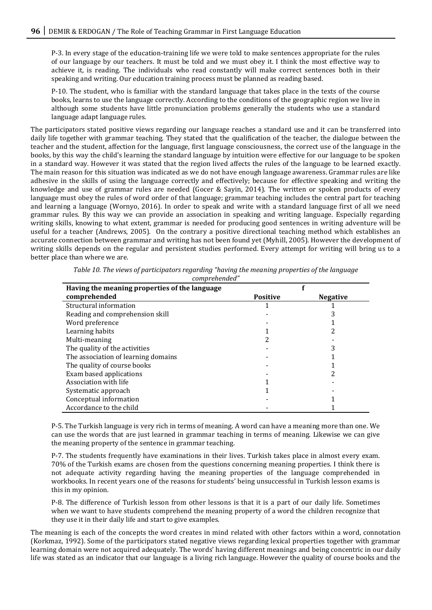P-3. In every stage of the education-training life we were told to make sentences appropriate for the rules of our language by our teachers. It must be told and we must obey it. I think the most effective way to achieve it, is reading. The individuals who read constantly will make correct sentences both in their speaking and writing. Our education training process must be planned as reading based.

P-10. The student, who is familiar with the standard language that takes place in the texts of the course books, learns to use the language correctly. According to the conditions of the geographic region we live in although some students have little pronunciation problems generally the students who use a standard language adapt language rules.

The participators stated positive views regarding our language reaches a standard use and it can be transferred into daily life together with grammar teaching. They stated that the qualification of the teacher, the dialogue between the teacher and the student, affection for the language, first language consciousness, the correct use of the language in the books, by this way the child's learning the standard language by intuition were effective for our language to be spoken in a standard way. However it was stated that the region lived affects the rules of the language to be learned exactly. The main reason for this situation was indicated as we do not have enough language awareness. Grammar rules are like adhesive in the skills of using the language correctly and effectively; because for effective speaking and writing the knowledge and use of grammar rules are needed (Gocer & Sayin, 2014). The written or spoken products of every language must obey the rules of word order of that language; grammar teaching includes the central part for teaching and learning a language (Wornyo, 2016). In order to speak and write with a standard language first of all we need grammar rules. By this way we can provide an association in speaking and writing language. Especially regarding writing skills, knowing to what extent, grammar is needed for producing good sentences in writing adventure will be useful for a teacher (Andrews, 2005). On the contrary a positive directional teaching method which establishes an accurate connection between grammar and writing has not been found yet (Myhill, 2005). However the development of writing skills depends on the regular and persistent studies performed. Every attempt for writing will bring us to a better place than where we are.

| complemented                                  |                 |                 |
|-----------------------------------------------|-----------------|-----------------|
| Having the meaning properties of the language |                 |                 |
| comprehended                                  | <b>Positive</b> | <b>Negative</b> |
| Structural information                        |                 |                 |
| Reading and comprehension skill               |                 |                 |
| Word preference                               |                 |                 |
| Learning habits                               |                 |                 |
| Multi-meaning                                 |                 |                 |
| The quality of the activities                 |                 |                 |
| The association of learning domains           |                 |                 |
| The quality of course books                   |                 |                 |
| Exam based applications                       |                 |                 |
| Association with life                         |                 |                 |
| Systematic approach                           |                 |                 |
| Conceptual information                        |                 |                 |
| Accordance to the child                       |                 |                 |

*Table 10. The views of participators regarding "having the meaning properties of the language comprehended"*

P-5. The Turkish language is very rich in terms of meaning. A word can have a meaning more than one. We can use the words that are just learned in grammar teaching in terms of meaning. Likewise we can give the meaning property of the sentence in grammar teaching.

P-7. The students frequently have examinations in their lives. Turkish takes place in almost every exam. 70% of the Turkish exams are chosen from the questions concerning meaning properties. I think there is not adequate activity regarding having the meaning properties of the language comprehended in workbooks. In recent years one of the reasons for students' being unsuccessful in Turkish lesson exams is this in my opinion.

P-8. The difference of Turkish lesson from other lessons is that it is a part of our daily life. Sometimes when we want to have students comprehend the meaning property of a word the children recognize that they use it in their daily life and start to give examples.

The meaning is each of the concepts the word creates in mind related with other factors within a word, connotation (Korkmaz, 1992). Some of the participators stated negative views regarding lexical properties together with grammar learning domain were not acquired adequately. The words' having different meanings and being concentric in our daily life was stated as an indicator that our language is a living rich language. However the quality of course books and the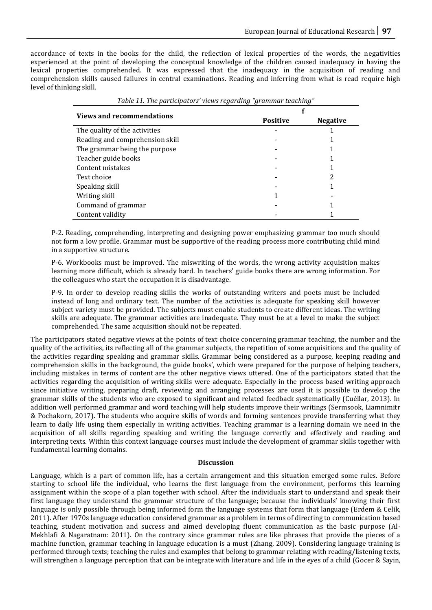accordance of texts in the books for the child, the reflection of lexical properties of the words, the negativities experienced at the point of developing the conceptual knowledge of the children caused inadequacy in having the lexical properties comprehended. It was expressed that the inadequacy in the acquisition of reading and comprehension skills caused failures in central examinations. Reading and inferring from what is read require high level of thinking skill.

| Table 11. The participators' views regarding "grammar teaching" |                 |                 |
|-----------------------------------------------------------------|-----------------|-----------------|
| <b>Views and recommendations</b>                                |                 |                 |
|                                                                 | <b>Positive</b> | <b>Negative</b> |
| The quality of the activities                                   |                 |                 |
| Reading and comprehension skill                                 |                 |                 |
| The grammar being the purpose                                   |                 |                 |
| Teacher guide books                                             |                 |                 |
| Content mistakes                                                |                 |                 |
| Text choice                                                     |                 |                 |
| Speaking skill                                                  |                 |                 |
| Writing skill                                                   |                 |                 |
| Command of grammar                                              |                 |                 |
| Content validity                                                |                 |                 |

P-2. Reading, comprehending, interpreting and designing power emphasizing grammar too much should not form a low profile. Grammar must be supportive of the reading process more contributing child mind in a supportive structure.

P-6. Workbooks must be improved. The miswriting of the words, the wrong activity acquisition makes learning more difficult, which is already hard. In teachers' guide books there are wrong information. For the colleagues who start the occupation it is disadvantage.

P-9. In order to develop reading skills the works of outstanding writers and poets must be included instead of long and ordinary text. The number of the activities is adequate for speaking skill however subject variety must be provided. The subjects must enable students to create different ideas. The writing skills are adequate. The grammar activities are inadequate. They must be at a level to make the subject comprehended. The same acquisition should not be repeated.

The participators stated negative views at the points of text choice concerning grammar teaching, the number and the quality of the activities, its reflecting all of the grammar subjects, the repetition of some acquisitions and the quality of the activities regarding speaking and grammar skills. Grammar being considered as a purpose, keeping reading and comprehension skills in the background, the guide books', which were prepared for the purpose of helping teachers, including mistakes in terms of content are the other negative views uttered. One of the participators stated that the activities regarding the acquisition of writing skills were adequate. Especially in the process based writing approach since initiative writing, preparing draft, reviewing and arranging processes are used it is possible to develop the grammar skills of the students who are exposed to significant and related feedback systematically (Cuéllar, 2013). In addition well performed grammar and word teaching will help students improve their writings (Sermsook, Liamnimitr & Pochakorn, 2017). The students who acquire skills of words and forming sentences provide transferring what they learn to daily life using them especially in writing activities. Teaching grammar is a learning domain we need in the acquisition of all skills regarding speaking and writing the language correctly and effectively and reading and interpreting texts. Within this context language courses must include the development of grammar skills together with fundamental learning domains.

#### **Discussion**

Language, which is a part of common life, has a certain arrangement and this situation emerged some rules. Before starting to school life the individual, who learns the first language from the environment, performs this learning assignment within the scope of a plan together with school. After the individuals start to understand and speak their first language they understand the grammar structure of the language; because the individuals' knowing their first language is only possible through being informed form the language systems that form that language (Erdem & Celik, 2011). After 1970s language education considered grammar as a problem in terms of directing to communication based teaching, student motivation and success and aimed developing fluent communication as the basic purpose (Al-Mekhlafi & Nagaratnam: 2011). On the contrary since grammar rules are like phrases that provide the pieces of a machine function, grammar teaching in language education is a must (Zhang, 2009). Considering language training is performed through texts; teaching the rules and examples that belong to grammar relating with reading/listening texts, will strengthen a language perception that can be integrate with literature and life in the eyes of a child (Gocer & Sayin,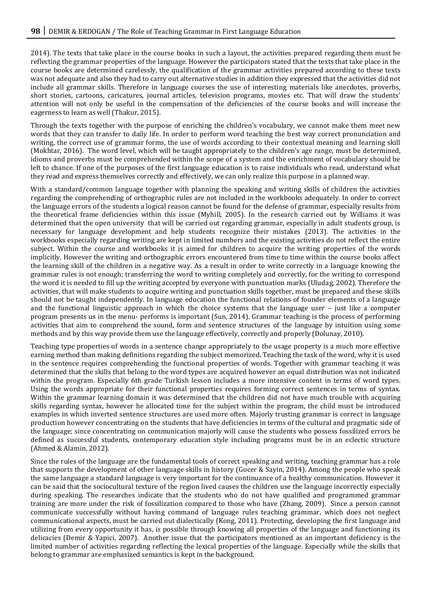2014). The texts that take place in the course books in such a layout, the activities prepared regarding them must be reflecting the grammar properties of the language. However the participators stated that the texts that take place in the course books are determined carelessly, the qualification of the grammar activities prepared according to these texts was not adequate and also they had to carry out alternative studies in addition they expressed that the activities did not include all grammar skills. Therefore in language courses the use of interesting materials like anecdotes, proverbs, short stories, cartoons, caricatures, journal articles, television programs, movies etc. That will draw the students' attention will not only be useful in the compensation of the deficiencies of the course books and will increase the eagerness to learn as well (Thakur, 2015).

Through the texts together with the purpose of enriching the children's vocabulary, we cannot make them meet new words that they can transfer to daily life. In order to perform word teaching the best way correct pronunciation and writing, the correct use of grammar forms, the use of words according to their contextual meaning and learning skill (Mokhtar, 2016). The word level, which will be taught appropriately to the children's age range, must be determined, idioms and proverbs must be comprehended within the scope of a system and the enrichment of vocabulary should be left to chance. If one of the purposes of the first language education is to raise individuals who read, understand what they read and express themselves correctly and effectively, we can only realize this purpose in a planned way.

With a standard/common language together with planning the speaking and writing skills of children the activities regarding the comprehending of orthographic rules are not included in the workbooks adequately. In order to correct the language errors of the students a logical reason cannot be found for the defense of grammar, especially results from the theoretical frame deficiencies within this issue (Myhill, 2005). In the research carried out by Williams it was determined that the open university that will be carried out regarding grammar, especially in adult students group, is necessary for language development and help students recognize their mistakes (2013). The activities in the workbooks especially regarding writing are kept in limited numbers and the existing activities do not reflect the entire subject. Within the course and workbooks it is aimed for children to acquire the writing properties of the words implicitly. However the writing and orthographic errors encountered from time to time within the course books affect the learning skill of the children in a negative way. As a result in order to write correctly in a language knowing the grammar rules is not enough; transferring the word to writing completely and correctly, for the writing to correspond the word it is needed to fill up the writing accepted by everyone with punctuation marks (Uludag, 2002). Therefore the activities, that will make students to acquire writing and punctuation skills together, must be prepared and these skills should not be taught independently. In language education the functional relations of founder elements of a language and the functional linguistic approach in which the choice systems that the language user – just like a computer program presents us in the menu- performs is important (Sun, 2014). Grammar teaching is the process of performing activities that aim to comprehend the sound, form and sentence structures of the language by intuition using some methods and by this way provide them use the language effectively, correctly and properly (Dolunay, 2010).

Teaching type properties of words in a sentence change appropriately to the usage property is a much more effective earning method than making definitions regarding the subject memorized. Teaching the task of the word, why it is used in the sentence requires comprehending the functional properties of words. Together with grammar teaching it was determined that the skills that belong to the word types are acquired however an equal distribution was not indicated within the program. Especially 6th grade Turkish lesson includes a more intensive content in terms of word types. Using the words appropriate for their functional properties requires forming correct sentences in terms of syntax. Within the grammar learning domain it was determined that the children did not have much trouble with acquiring skills regarding syntax, however he allocated time for the subject within the program, the child must be introduced examples in which inverted sentence structures are used more often. Majorly trusting grammar is correct in language production however concentrating on the students that have deficiencies in terms of the cultural and pragmatic side of the language; since concentrating on communication majorly will cause the students who possess fossilized errors be defined as successful students, contemporary education style including programs must be in an eclectic structure (Ahmed & Alamin, 2012).

Since the rules of the language are the fundamental tools of correct speaking and writing, teaching grammar has a role that supports the development of other language skills in history (Gocer & Sayin, 2014). Among the people who speak the same language a standard language is very important for the continuance of a healthy communication. However it can be said that the sociocultural texture of the region lived causes the children use the language incorrectly especially during speaking. The researches indicate that the students who do not have qualified and programmed grammar training are more under the risk of fossilization compared to those who have (Zhang, 2009). Since a person cannot communicate successfully without having command of language rules teaching grammar, which does not neglect communicational aspects, must be carried out dialectically (Kong, 2011). Protecting, developing the first language and utilizing from every opportunity it has, is possible through knowing all properties of the language and functioning its delicacies (Demir & Yapici, 2007). Another issue that the participators mentioned as an important deficiency is the limited number of activities regarding reflecting the lexical properties of the language. Especially while the skills that belong to grammar are emphasized semantics is kept in the background.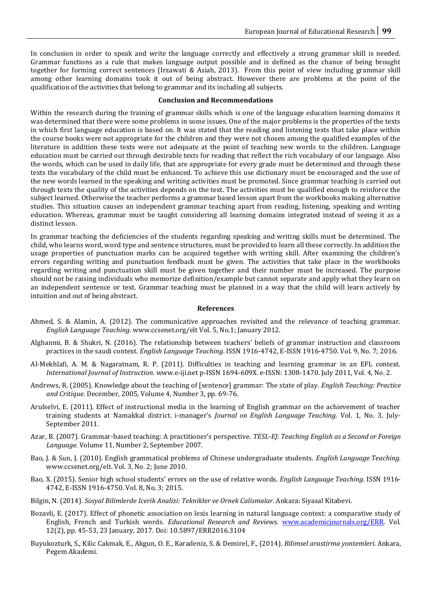In conclusion in order to speak and write the language correctly and effectively a strong grammar skill is needed. Grammar functions as a rule that makes language output possible and is defined as the chance of being brought together for forming correct sentences (Irzawati & Asiah, 2013). From this point of view including grammar skill among other learning domains took it out of being abstract. However there are problems at the point of the qualification of the activities that belong to grammar and its including all subjects.

#### **Conclusion and Recommendations**

Within the research during the training of grammar skills which is one of the language education learning domains it was determined that there were some problems in some issues. One of the major problems is the properties of the texts in which first language education is based on. It was stated that the reading and listening texts that take place within the course books were not appropriate for the children and they were not chosen among the qualified examples of the literature in addition these texts were not adequate at the point of teaching new words to the children. Language education must be carried out through desirable texts for reading that reflect the rich vocabulary of our language. Also the words, which can be used in daily life, that are appropriate for every grade must be determined and through these texts the vocabulary of the child must be enhanced. To achieve this use dictionary must be encouraged and the use of the new words learned in the speaking and writing activities must be promoted. Since grammar teaching is carried out through texts the quality of the activities depends on the text. The activities must be qualified enough to reinforce the subject learned. Otherwise the teacher performs a grammar based lesson apart from the workbooks making alternative studies. This situation causes an independent grammar teaching apart from reading, listening, speaking and writing education. Whereas, grammar must be taught considering all learning domains integrated instead of seeing it as a distinct lesson.

In grammar teaching the deficiencies of the students regarding speaking and writing skills must be determined. The child, who learns word, word type and sentence structures, must be provided to learn all these correctly. In addition the usage properties of punctuation marks can be acquired together with writing skill. After examining the children's errors regarding writing and punctuation feedback must be given. The activities that take place in the workbooks regarding writing and punctuation skill must be given together and their number must be increased. The purpose should not be raising individuals who memorize definition/example but cannot separate and apply what they learn on an independent sentence or text. Grammar teaching must be planned in a way that the child will learn actively by intuition and out of being abstract.

#### **References**

- Ahmed, S. & Alamin, A. (2012). The communicative approaches revisited and the relevance of teaching grammar. *English Language Teaching*. www.ccsenet.org/elt Vol. 5, No.1; January 2012.
- Alghanmi, B. & Shukri, N. (2016). The relationship between teachers' beliefs of grammar instruction and classroom practices in the saudi context. *English Language Teaching*. ISSN 1916-4742, E-ISSN 1916-4750. Vol. 9, No. 7; 2016.
- Al-Mekhlafi, A. M. & Nagaratnam, R. P. (2011). Difficulties in teaching and learning grammar in an EFL context. *International Journal of Instruction*. www.e-iji.net p-ISSN 1694-609X. e-ISSN: 1308-1470. July 2011, Vol. 4, No. 2.
- Andrews, R. (2005). Knowledge about the teaching of [sentence] grammar: The state of play. *English Teaching: Practice and Critique*. December, 2005, Volume 4, Number 3, pp. 69-76.
- Arulselvi, E. (2011). Effect of instructional media in the learning of English grammar on the achievement of teacher training students at Namakkal district. i-manager's *Journal on English Language Teaching*. Vol. 1, No. 3, July-September 2011.
- Azar, B. (2007). Grammar-based teaching: A practitioner's perspective. *TESL-EJ: Teaching English as a Second or Foreign Language.* Volume 11, Number 2, September 2007.
- Bao, J. & Sun, J. (2010). English grammatical problems of Chinese undergraduate students. *English Language Teaching*. www.ccsenet.org/elt. Vol. 3, No. 2; June 2010.
- Bao, X. (2015). Senior high school students' errors on the use of relative words. *English Language Teaching*. ISSN 1916- 4742, E-ISSN 1916-4750. Vol. 8, No. 3; 2015.
- Bilgin, N. (2014). *Sosyal Bilimlerde Icerik Analizi: Teknikler ve Ornek Calismalar*. Ankara: Siyasal Kitabevi.
- Bozavli, E. (2017). Effect of phonetic association on lexis learning in natural language context: a comparative study of English, French and Turkish words. *Educational Research and Reviews.* [www.academicjournals.org/ERR.](http://www.academicjournals.org/ERR) Vol. 12(2), pp. 45-53, 23 January, 2017. Doi: 10.5897/ERR2016.3104
- Buyukozturk, S., Kilic Cakmak, E., Akgun, O. E., Karadeniz, S. & Demirel, F., (2014). *Bilimsel arastirma yontemleri*. Ankara, Pegem Akademi.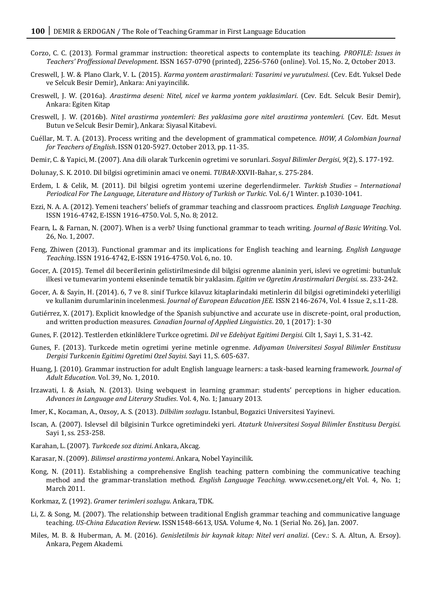- Corzo, C. C. (2013). Formal grammar instruction: theoretical aspects to contemplate its teaching. *PROFILE: Issues in Teachers' Proffessional Development*. ISSN 1657-0790 (printed), 2256-5760 (online). Vol. 15, No. 2, October 2013.
- Creswell, J. W. & Plano Clark, V. L. (2015). *Karma yontem arastirmalari: Tasarimi ve yurutulmesi*. (Cev. Edt. Yuksel Dede ve Selcuk Besir Demir), Ankara: Ani yayincilik.
- Creswell, J. W. (2016a). *Arastirma deseni: Nitel, nicel ve karma yontem yaklasimlari*. (Cev. Edt. Selcuk Besir Demir), Ankara: Egiten Kitap
- Creswell, J. W. (2016b). *Nitel arastirma yontemleri: Bes yaklasima gore nitel arastirma yontemleri.* (Cev. Edt. Mesut Butun ve Selcuk Besir Demir), Ankara: Siyasal Kitabevi.
- Cuéllar, M. T. A. (2013). Process writing and the development of grammatical competence. *HOW, A Colombian Journal for Teachers of English*. ISSN 0120-5927. October 2013, pp. 11-35.
- Demir, C. & Yapici, M. (2007). Ana dili olarak Turkcenin ogretimi ve sorunlari. *Sosyal Bilimler Dergisi*, *9*(2), S. 177-192.
- Dolunay, S. K. 2010. Dil bilgisi ogretiminin amaci ve onemi. *TUBAR*-XXVII-Bahar, s. 275-284.
- Erdem, I. & Celik, M. (2011). Dil bilgisi ogretim yontemi uzerine degerlendirmeler. *Turkish Studies – International Periodical For The Language, Literature and History of Turkish or Turkic.* Vol. 6/1 Winter. p.1030-1041.
- Ezzi, N. A. A. (2012). Yemeni teachers' beliefs of grammar teaching and classroom practices. *English Language Teaching*. ISSN 1916-4742, E-ISSN 1916-4750. Vol. 5, No. 8; 2012.
- Fearn, L. & Farnan, N. (2007). When is a verb? Using functional grammar to teach writing. *Journal of Basic Writing*. Vol. 26, No. 1, 2007.
- Feng, Zhiwen (2013). Functional grammar and its implications for English teaching and learning. *English Language Teaching*. ISSN 1916-4742, E-ISSN 1916-4750. Vol. 6, no. 10.
- Gocer, A. (2015). Temel dil becerilerinin gelistirilmesinde dil bilgisi ogrenme alaninin yeri, islevi ve ogretimi: butunluk ilkesi ve tumevarim yontemi ekseninde tematik bir yaklasim. *Egitim ve Ogretim Arastirmalari Dergisi*. ss. 233-242.
- Gocer, A. & Sayin, H. (2014). 6, 7 ve 8. sinif Turkce kilavuz kitaplarindaki metinlerin dil bilgisi ogretimindeki yeterliligi ve kullanim durumlarinin incelenmesi. *Journal of European Education JEE.* ISSN 2146-2674, Vol. 4 Issue 2, s.11-28.
- Gutiérrez, X. (2017). Explicit knowledge of the Spanish subjunctive and accurate use in discrete-point, oral production, and written production measures. *Canadian Journal of Applied Linguistics*. 20, 1 (2017): 1-30
- Gunes, F. (2012). Testlerden etkinliklere Turkce ogretimi. *Dil ve Edebiyat Egitimi Dergisi*. Cilt 1, Sayi 1, S. 31-42.
- Gunes, F. (2013). Turkcede metin ogretimi yerine metinle ogrenme. *Adiyaman Universitesi Sosyal Bilimler Enstitusu Dergisi Turkcenin Egitimi Ogretimi Ozel Sayisi*. Sayi 11, S. 605-637.
- Huang, J. (2010). Grammar instruction for adult English language learners: a task-based learning framework. *Journal of Adult Education*. Vol. 39, No. 1, 2010.
- Irzawati, I. & Asiah, N. (2013). Using webquest in learning grammar: students' perceptions in higher education. *Advances in Language and Literary Studies*. Vol. 4, No. 1; January 2013.
- Imer, K., Kocaman, A., Ozsoy, A. S. (2013). *Dilbilim sozlugu*. Istanbul, Bogazici Universitesi Yayinevi.
- Iscan, A. (2007). Islevsel dil bilgisinin Turkce ogretimindeki yeri. *Ataturk Universitesi Sosyal Bilimler Enstitusu Dergisi*. Sayi 1, ss. 253-258.
- Karahan, L. (2007). *Turkcede soz dizimi*. Ankara, Akcag.
- Karasar, N. (2009). *Bilimsel arastirma yontemi*. Ankara, Nobel Yayincilik.
- Kong, N. (2011). Establishing a comprehensive English teaching pattern combining the communicative teaching method and the grammar-translation method. *English Language Teaching.* www.ccsenet.org/elt Vol. 4, No. 1; March 2011.
- Korkmaz, Z. (1992). *Gramer terimleri sozlugu*. Ankara, TDK.
- Li, Z. & Song, M. (2007). The relationship between traditional English grammar teaching and communicative language teaching. *US-China Education Review*. ISSN1548-6613, USA. Volume 4, No. 1 (Serial No. 26), Jan. 2007.
- Miles, M. B. & Huberman, A. M. (2016). *Genisletilmis bir kaynak kitap: Nitel veri analizi*. (Cev.: S. A. Altun, A. Ersoy). Ankara, Pegem Akademi.